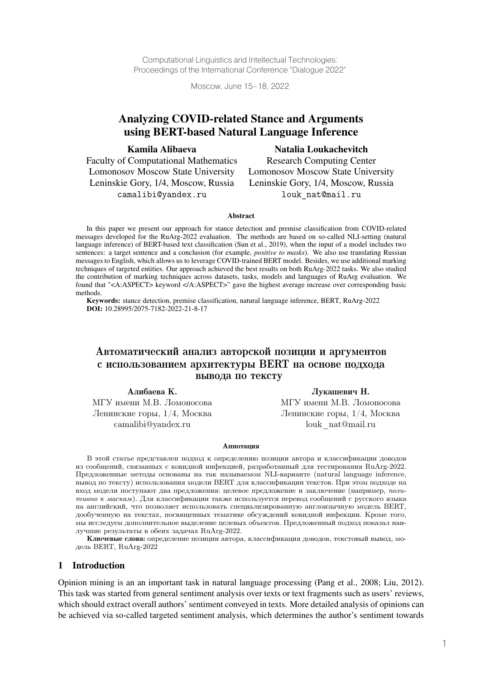Computational Linguistics and Intellectual Technologies: Proceedings of the International Conference "Dialogue 2022"

Moscow, June 15–18, 2022

# Analyzing COVID-related Stance and Arguments using BERT-based Natural Language Inference

Kamila Alibaeva

#### Natalia Loukachevitch

Faculty of Computational Mathematics Lomonosov Moscow State University Leninskie Gory, 1/4, Moscow, Russia camalibi@yandex.ru

Research Computing Center Lomonosov Moscow State University Leninskie Gory, 1/4, Moscow, Russia louk\_nat@mail.ru

#### Abstract

In this paper we present our approach for stance detection and premise classification from COVID-related messages developed for the RuArg-2022 evaluation. The methods are based on so-called NLI-setting (natural language inference) of BERT-based text classification (Sun et al., 2019), when the input of a model includes two sentences: a target sentence and a conclusion (for example, *positive to masks*). We also use translating Russian messages to English, which allows us to leverage COVID-trained BERT model. Besides, we use additional marking techniques of targeted entities. Our approach achieved the best results on both RuArg-2022 tasks. We also studied the contribution of marking techniques across datasets, tasks, models and languages of RuArg evaluation. We found that "<A:ASPECT> keyword </A:ASPECT>" gave the highest average increase over corresponding basic methods.

Keywords: stance detection, premise classification, natural language inference, BERT, RuArg-2022 DOI: 10.28995/2075-7182-2022-21-8-17

# Автоматический анализ авторской позиции и аргументов с использованием архитектуры BERT на основе подхода вывода по тексту

Алибаева К. Лукашевич Н. МГУ имени М.В. Ломоносова МГУ имени М.В. Ломоносова

Ленинские горы,  $1/4$ , Москва Ленинские горы,  $1/4$ , Москва camalibi@yandex.ru louk\_nat@mail.ru

#### **Аннотация**

В этой статье представлен подход к определению позиции автора и классификации доводов из сообщений, связанных с ковидной инфекцией, разработанный для тестирования RuArg-2022. Предложенные методы основаны на так называемом NLI-варианте (natural language inference, вывод по тексту) использования модели BERT для классификации текстов. При этом подходе на вход модели поступают два предложения: целевое предложение и заключение (например, *позитивно к маскам*). Для классификации также используется перевод сообщений с русского языка на английский, что позволяет использовать специализированную англоязычную модель BERT, дообученную на текстах, посвященных тематике обсуждений ковидной инфекции. Кроме того, мы исследуем дополнительное выделение целевых объектов. Предложенный подход показал наилучшие результаты в обеих задачах RuArg-2022.

Ключевые слова: определение позиции автора, классификация доводов, текстовый вывод, модель BERT, RuArg-2022

#### 1 Introduction

Opinion mining is an an important task in natural language processing (Pang et al., 2008; Liu, 2012). This task was started from general sentiment analysis over texts or text fragments such as users' reviews, which should extract overall authors' sentiment conveyed in texts. More detailed analysis of opinions can be achieved via so-called targeted sentiment analysis, which determines the author's sentiment towards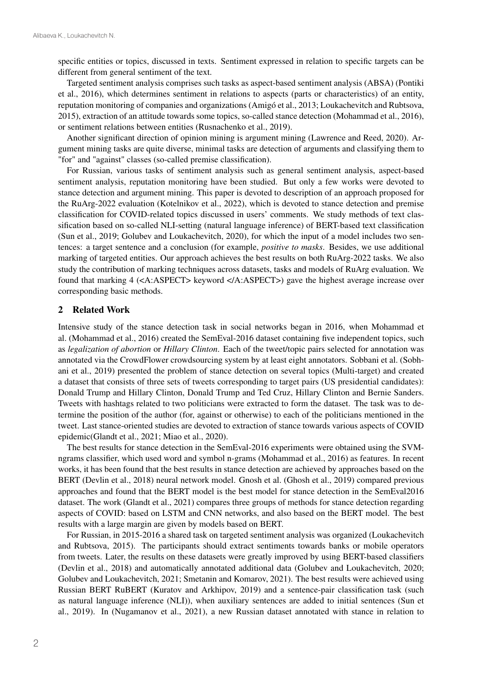specific entities or topics, discussed in texts. Sentiment expressed in relation to specific targets can be different from general sentiment of the text.

Targeted sentiment analysis comprises such tasks as aspect-based sentiment analysis (ABSA) (Pontiki et al., 2016), which determines sentiment in relations to aspects (parts or characteristics) of an entity, reputation monitoring of companies and organizations (Amigó et al., 2013; Loukachevitch and Rubtsova, 2015), extraction of an attitude towards some topics, so-called stance detection (Mohammad et al., 2016), or sentiment relations between entities (Rusnachenko et al., 2019).

Another significant direction of opinion mining is argument mining (Lawrence and Reed, 2020). Argument mining tasks are quite diverse, minimal tasks are detection of arguments and classifying them to "for" and "against" classes (so-called premise classification).

For Russian, various tasks of sentiment analysis such as general sentiment analysis, aspect-based sentiment analysis, reputation monitoring have been studied. But only a few works were devoted to stance detection and argument mining. This paper is devoted to description of an approach proposed for the RuArg-2022 evaluation (Kotelnikov et al., 2022), which is devoted to stance detection and premise classification for COVID-related topics discussed in users' comments. We study methods of text classification based on so-called NLI-setting (natural language inference) of BERT-based text classification (Sun et al., 2019; Golubev and Loukachevitch, 2020), for which the input of a model includes two sentences: a target sentence and a conclusion (for example, *positive to masks*. Besides, we use additional marking of targeted entities. Our approach achieves the best results on both RuArg-2022 tasks. We also study the contribution of marking techniques across datasets, tasks and models of RuArg evaluation. We found that marking 4 (<A:ASPECT> keyword </A:ASPECT>) gave the highest average increase over corresponding basic methods.

#### 2 Related Work

Intensive study of the stance detection task in social networks began in 2016, when Mohammad et al. (Mohammad et al., 2016) created the SemEval-2016 dataset containing five independent topics, such as *legalization of abortion* or *Hillary Clinton*. Each of the tweet/topic pairs selected for annotation was annotated via the CrowdFlower crowdsourcing system by at least eight annotators. Sobbani et al. (Sobhani et al., 2019) presented the problem of stance detection on several topics (Multi-target) and created a dataset that consists of three sets of tweets corresponding to target pairs (US presidential candidates): Donald Trump and Hillary Clinton, Donald Trump and Ted Cruz, Hillary Clinton and Bernie Sanders. Tweets with hashtags related to two politicians were extracted to form the dataset. The task was to determine the position of the author (for, against or otherwise) to each of the politicians mentioned in the tweet. Last stance-oriented studies are devoted to extraction of stance towards various aspects of COVID epidemic(Glandt et al., 2021; Miao et al., 2020).

The best results for stance detection in the SemEval-2016 experiments were obtained using the SVMngrams classifier, which used word and symbol n-grams (Mohammad et al., 2016) as features. In recent works, it has been found that the best results in stance detection are achieved by approaches based on the BERT (Devlin et al., 2018) neural network model. Gnosh et al. (Ghosh et al., 2019) compared previous approaches and found that the BERT model is the best model for stance detection in the SemEval2016 dataset. The work (Glandt et al., 2021) compares three groups of methods for stance detection regarding aspects of COVID: based on LSTM and CNN networks, and also based on the BERT model. The best results with a large margin are given by models based on BERT.

For Russian, in 2015-2016 a shared task on targeted sentiment analysis was organized (Loukachevitch and Rubtsova, 2015). The participants should extract sentiments towards banks or mobile operators from tweets. Later, the results on these datasets were greatly improved by using BERT-based classifiers (Devlin et al., 2018) and automatically annotated additional data (Golubev and Loukachevitch, 2020; Golubev and Loukachevitch, 2021; Smetanin and Komarov, 2021). The best results were achieved using Russian BERT RuBERT (Kuratov and Arkhipov, 2019) and a sentence-pair classification task (such as natural language inference (NLI)), when auxiliary sentences are added to initial sentences (Sun et al., 2019). In (Nugamanov et al., 2021), a new Russian dataset annotated with stance in relation to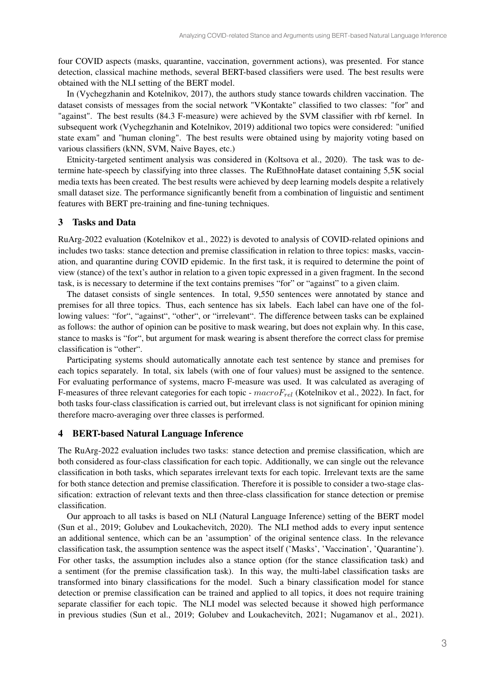four COVID aspects (masks, quarantine, vaccination, government actions), was presented. For stance detection, classical machine methods, several BERT-based classifiers were used. The best results were obtained with the NLI setting of the BERT model.

In (Vychegzhanin and Kotelnikov, 2017), the authors study stance towards children vaccination. The dataset consists of messages from the social network "VKontakte" classified to two classes: "for" and "against". The best results (84.3 F-measure) were achieved by the SVM classifier with rbf kernel. In subsequent work (Vychegzhanin and Kotelnikov, 2019) additional two topics were considered: "unified state exam" and "human cloning". The best results were obtained using by majority voting based on various classifiers (kNN, SVM, Naive Bayes, etc.)

Etnicity-targeted sentiment analysis was considered in (Koltsova et al., 2020). The task was to determine hate-speech by classifying into three classes. The RuEthnoHate dataset containing 5,5K social media texts has been created. The best results were achieved by deep learning models despite a relatively small dataset size. The performance significantly benefit from a combination of linguistic and sentiment features with BERT pre-training and fine-tuning techniques.

## 3 Tasks and Data

RuArg-2022 evaluation (Kotelnikov et al., 2022) is devoted to analysis of COVID-related opinions and includes two tasks: stance detection and premise classification in relation to three topics: masks, vaccination, and quarantine during COVID epidemic. In the first task, it is required to determine the point of view (stance) of the text's author in relation to a given topic expressed in a given fragment. In the second task, is is necessary to determine if the text contains premises "for" or "against" to a given claim.

The dataset consists of single sentences. In total, 9,550 sentences were annotated by stance and premises for all three topics. Thus, each sentence has six labels. Each label can have one of the following values: "for", "against", "other", or "irrelevant". The difference between tasks can be explained as follows: the author of opinion can be positive to mask wearing, but does not explain why. In this case, stance to masks is "for", but argument for mask wearing is absent therefore the correct class for premise classification is "other".

Participating systems should automatically annotate each test sentence by stance and premises for each topics separately. In total, six labels (with one of four values) must be assigned to the sentence. For evaluating performance of systems, macro F-measure was used. It was calculated as averaging of F-measures of three relevant categories for each topic -  $macroF_{rel}$  (Kotelnikov et al., 2022). In fact, for both tasks four-class classification is carried out, but irrelevant class is not significant for opinion mining therefore macro-averaging over three classes is performed.

### 4 BERT-based Natural Language Inference

The RuArg-2022 evaluation includes two tasks: stance detection and premise classification, which are both considered as four-class classification for each topic. Additionally, we can single out the relevance classification in both tasks, which separates irrelevant texts for each topic. Irrelevant texts are the same for both stance detection and premise classification. Therefore it is possible to consider a two-stage classification: extraction of relevant texts and then three-class classification for stance detection or premise classification.

Our approach to all tasks is based on NLI (Natural Language Inference) setting of the BERT model (Sun et al., 2019; Golubev and Loukachevitch, 2020). The NLI method adds to every input sentence an additional sentence, which can be an 'assumption' of the original sentence class. In the relevance classification task, the assumption sentence was the aspect itself ('Masks', 'Vaccination', 'Quarantine'). For other tasks, the assumption includes also a stance option (for the stance classification task) and a sentiment (for the premise classification task). In this way, the multi-label classification tasks are transformed into binary classifications for the model. Such a binary classification model for stance detection or premise classification can be trained and applied to all topics, it does not require training separate classifier for each topic. The NLI model was selected because it showed high performance in previous studies (Sun et al., 2019; Golubev and Loukachevitch, 2021; Nugamanov et al., 2021).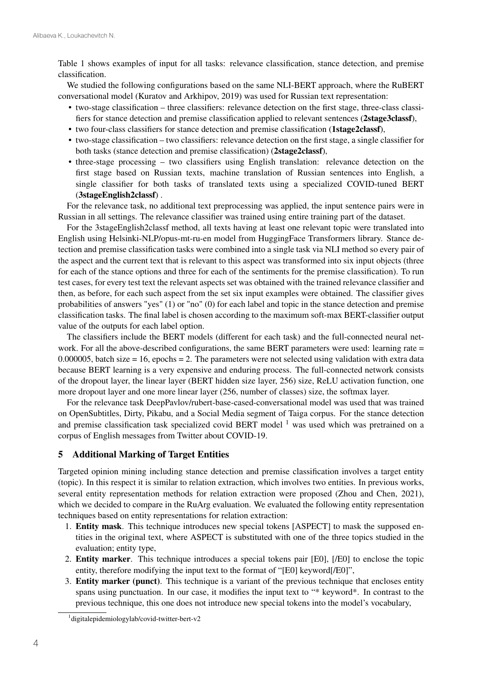Table 1 shows examples of input for all tasks: relevance classification, stance detection, and premise classification.

We studied the following configurations based on the same NLI-BERT approach, where the RuBERT conversational model (Kuratov and Arkhipov, 2019) was used for Russian text representation:

- two-stage classification three classifiers: relevance detection on the first stage, three-class classifiers for stance detection and premise classification applied to relevant sentences (2stage3classf),
- two four-class classifiers for stance detection and premise classification (1stage2classf),
- two-stage classification two classifiers: relevance detection on the first stage, a single classifier for both tasks (stance detection and premise classification) (2stage2classf),
- three-stage processing two classifiers using English translation: relevance detection on the first stage based on Russian texts, machine translation of Russian sentences into English, a single classifier for both tasks of translated texts using a specialized COVID-tuned BERT (3stageEnglish2classf) .

For the relevance task, no additional text preprocessing was applied, the input sentence pairs were in Russian in all settings. The relevance classifier was trained using entire training part of the dataset.

For the 3stageEnglish2classf method, all texts having at least one relevant topic were translated into English using Helsinki-NLP/opus-mt-ru-en model from HuggingFace Transformers library. Stance detection and premise classification tasks were combined into a single task via NLI method so every pair of the aspect and the current text that is relevant to this aspect was transformed into six input objects (three for each of the stance options and three for each of the sentiments for the premise classification). To run test cases, for every test text the relevant aspects set was obtained with the trained relevance classifier and then, as before, for each such aspect from the set six input examples were obtained. The classifier gives probabilities of answers "yes" (1) or "no" (0) for each label and topic in the stance detection and premise classification tasks. The final label is chosen according to the maximum soft-max BERT-classifier output value of the outputs for each label option.

The classifiers include the BERT models (different for each task) and the full-connected neural network. For all the above-described configurations, the same BERT parameters were used: learning rate = 0.000005, batch size  $= 16$ , epochs  $= 2$ . The parameters were not selected using validation with extra data because BERT learning is a very expensive and enduring process. The full-connected network consists of the dropout layer, the linear layer (BERT hidden size layer, 256) size, ReLU activation function, one more dropout layer and one more linear layer (256, number of classes) size, the softmax layer.

For the relevance task DeepPavlov/rubert-base-cased-conversational model was used that was trained on OpenSubtitles, Dirty, Pikabu, and a Social Media segment of Taiga corpus. For the stance detection and premise classification task specialized covid BERT model  $<sup>1</sup>$  was used which was pretrained on a</sup> corpus of English messages from Twitter about COVID-19.

#### 5 Additional Marking of Target Entities

Targeted opinion mining including stance detection and premise classification involves a target entity (topic). In this respect it is similar to relation extraction, which involves two entities. In previous works, several entity representation methods for relation extraction were proposed (Zhou and Chen, 2021), which we decided to compare in the RuArg evaluation. We evaluated the following entity representation techniques based on entity representations for relation extraction:

- 1. Entity mask. This technique introduces new special tokens [ASPECT] to mask the supposed entities in the original text, where ASPECT is substituted with one of the three topics studied in the evaluation; entity type,
- 2. Entity marker. This technique introduces a special tokens pair [E0], [/E0] to enclose the topic entity, therefore modifying the input text to the format of "[E0] keyword[/E0]",
- 3. Entity marker (punct). This technique is a variant of the previous technique that encloses entity spans using punctuation. In our case, it modifies the input text to "\* keyword\*. In contrast to the previous technique, this one does not introduce new special tokens into the model's vocabulary,

<sup>1</sup> digitalepidemiologylab/covid-twitter-bert-v2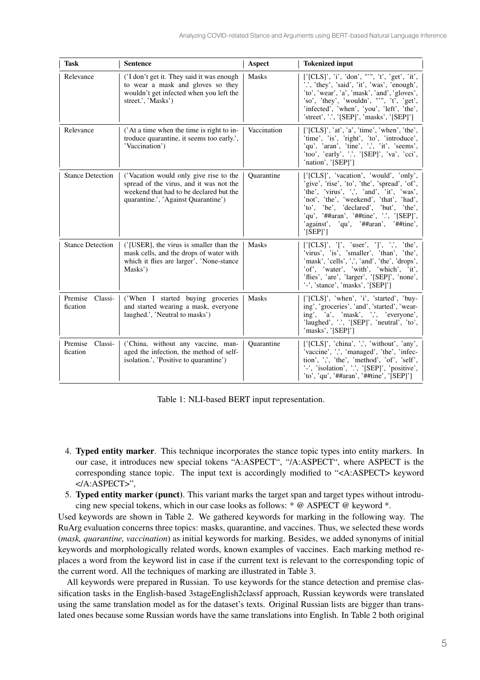| <b>Task</b>                    | <b>Sentence</b>                                                                                                                                                     | Aspect       | <b>Tokenized input</b>                                                                                                                                                                                                                                                                                                   |
|--------------------------------|---------------------------------------------------------------------------------------------------------------------------------------------------------------------|--------------|--------------------------------------------------------------------------------------------------------------------------------------------------------------------------------------------------------------------------------------------------------------------------------------------------------------------------|
| Relevance                      | ('I don't get it. They said it was enough<br>to wear a mask and gloves so they<br>wouldn't get infected when you left the<br>street.', 'Masks')                     | <b>Masks</b> | ['[CLS]', 'i', 'don', "'", 't', 'get', 'it',<br>"", 'they', 'said', 'it', 'was', 'enough',<br>'to', 'wear', 'a', 'mask', 'and', 'gloves',<br>'so', 'they', 'wouldn', """, 't', 'get',<br>'infected', 'when', 'you', 'left', 'the',<br>'street', '.', '[SEP]', 'masks', '[SEP]']                                          |
| Relevance                      | ('At a time when the time is right to in-<br>troduce quarantine, it seems too early.',<br>'Vaccination')                                                            | Vaccination  | [' $[CLS]'$ , 'at', 'a', 'time', 'when', 'the',<br>'time', 'is', 'right', 'to', 'introduce',<br>'qu', 'aran', 'tine', ',', 'it', 'seems',<br>'too', 'early', '.', '[SEP]', 'va', 'cci',<br>'nation', '[SEP]']                                                                                                            |
| <b>Stance Detection</b>        | ('Vacation would only give rise to the<br>spread of the virus, and it was not the<br>weekend that had to be declared but the<br>quarantine.', 'Against Quarantine') | Quarantine   | ['[CLS]', 'vacation', 'would', 'only',<br>'give', 'rise', 'to', 'the', 'spread', 'of',<br>'the', 'virus', ',', 'and', 'it', 'was',<br>'not', 'the', 'weekend', 'that', 'had',<br>'to', 'be', 'declared', 'but', 'the',<br>'qu', '##aran', '##tine', '.', '[SEP]',<br>'against', 'qu', '##aran', '##tine',<br>$'$ [SEP]'] |
| <b>Stance Detection</b>        | ('[USER], the virus is smaller than the<br>mask cells, and the drops of water with<br>which it flies are larger', 'None-stance<br>Masks')                           | <b>Masks</b> | ['[CLS]', '[', 'user', ']', ',', 'the',<br>'virus', 'is', 'smaller', 'than', 'the',<br>'mask', 'cells', ',', 'and', 'the', 'drops',<br>'of', 'water', 'with', 'which', 'it',<br>'flies', 'are', 'larger', '[SEP]', 'none',<br>'-', 'stance', 'masks', '[SEP]']                                                           |
| Premise Classi-<br>fication    | ('When I started buying groceries<br>and started wearing a mask, everyone<br>laughed.', 'Neutral to masks')                                                         | <b>Masks</b> | ['[CLS]', 'when', 'i', 'started', 'buy-<br>ing', 'groceries', 'and', 'started', 'wear-<br>ing', 'a', 'mask', ',', 'everyone',<br>'laughed', '.', '[SEP]', 'neutral', 'to',<br>'masks', '[SEP]']                                                                                                                          |
| Premise<br>Classi-<br>fication | ('China, without any vaccine, man-<br>aged the infection, the method of self-<br>isolation.', 'Positive to quarantine')                                             | Ouarantine   | ['[CLS]', 'china', ',', 'without', 'any',<br>'vaccine', ',', 'managed', 'the', 'infec-<br>tion', ',', 'the', 'method', 'of', 'self',<br>'-', 'isolation', '.', '[SEP]', 'positive',<br>'to', 'qu', '##aran', '##tine', '[SEP]']                                                                                          |

Table 1: NLI-based BERT input representation.

- 4. Typed entity marker. This technique incorporates the stance topic types into entity markers. In our case, it introduces new special tokens "A:ASPECT", "/A:ASPECT", where ASPECT is the corresponding stance topic. The input text is accordingly modified to "<A:ASPECT> keyword </A:ASPECT>",
- 5. Typed entity marker (punct). This variant marks the target span and target types without introducing new special tokens, which in our case looks as follows: \* @ ASPECT @ keyword \*.

Used keywords are shown in Table 2. We gathered keywords for marking in the following way. The RuArg evaluation concerns three topics: masks, quarantine, and vaccines. Thus, we selected these words (*mask, quarantine, vaccination*) as initial keywords for marking. Besides, we added synonyms of initial keywords and morphologically related words, known examples of vaccines. Each marking method replaces a word from the keyword list in case if the current text is relevant to the corresponding topic of the current word. All the techniques of marking are illustrated in Table 3.

All keywords were prepared in Russian. To use keywords for the stance detection and premise classification tasks in the English-based 3stageEnglish2classf approach, Russian keywords were translated using the same translation model as for the dataset's texts. Original Russian lists are bigger than translated ones because some Russian words have the same translations into English. In Table 2 both original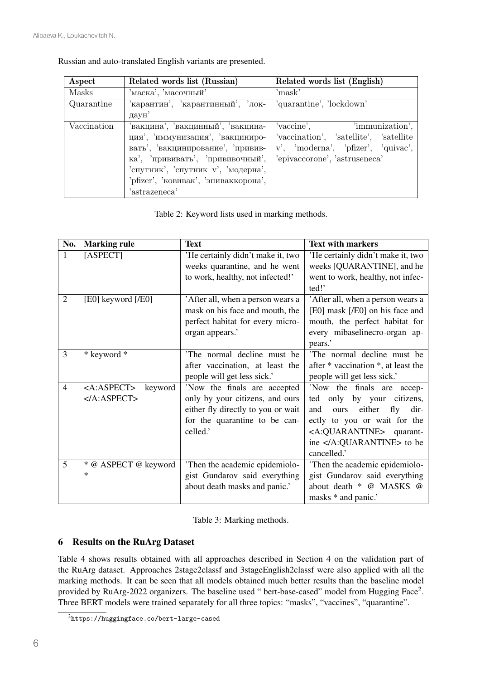|  | Russian and auto-translated English variants are presented. |  |  |
|--|-------------------------------------------------------------|--|--|
|  |                                                             |  |  |

| Aspect      | Related words list (Russian)         | Related words list (English)            |
|-------------|--------------------------------------|-----------------------------------------|
| Masks       | маска', 'масочный'                   | 'mask'                                  |
| Quarantine  | 'карантин', 'карантинный', 'лок-     | 'quarantine', 'lockdown'                |
|             | даун'                                |                                         |
| Vaccination | 'вакцина', 'вакцинный', 'вакцина-    | 'vaccine', 'immunization',              |
|             | ция', 'иммунизация', 'вакциниро-     | 'vaccination', 'satellite', 'satellite' |
|             | вать', 'вакцинирование', 'привив-    | v', 'moderna', 'pfizer', 'quivac',      |
|             | ка', 'прививать', 'прививочный',     | 'epivaccorone', 'astruseneca'           |
|             | 'спутник', 'спутник v', 'модерна',   |                                         |
|             | 'pfizer', 'ковивак', 'эпиваккорона', |                                         |
|             | 'astrazeneca'                        |                                         |

Table 2: Keyword lists used in marking methods.

| No.            | <b>Marking rule</b>               | <b>Text</b>                        | <b>Text with markers</b>               |
|----------------|-----------------------------------|------------------------------------|----------------------------------------|
| $\mathbf{1}$   | [ASPECT]                          | 'He certainly didn't make it, two  | 'He certainly didn't make it, two      |
|                |                                   | weeks quarantine, and he went      | weeks [QUARANTINE], and he             |
|                |                                   | to work, healthy, not infected!'   | went to work, healthy, not infec-      |
|                |                                   |                                    | ted!'                                  |
| $\overline{2}$ | [E0] keyword [/E0]                | 'After all, when a person wears a  | 'After all, when a person wears a      |
|                |                                   | mask on his face and mouth, the    | [E0] mask [/E0] on his face and        |
|                |                                   | perfect habitat for every micro-   | mouth, the perfect habitat for         |
|                |                                   | organ appears.'                    | every mibaselinecro-organ ap-          |
|                |                                   |                                    | pears.'                                |
| $\overline{3}$ | * keyword *                       | 'The normal decline must be        | 'The normal decline must be            |
|                |                                   | after vaccination, at least the    | after * vaccination *, at least the    |
|                |                                   | people will get less sick.'        | people will get less sick.'            |
| $\overline{4}$ | <a:aspect><br/>keyword</a:aspect> | 'Now the finals are accepted       | 'Now<br>the finals are<br>accep-       |
|                | $<$ /A:ASPECT>                    | only by your citizens, and ours    | by your citizens,<br>ted only          |
|                |                                   | either fly directly to you or wait | either<br>fly<br>and<br>dir-<br>ours   |
|                |                                   | for the quarantine to be can-      | ectly to you or wait for the           |
|                |                                   | celled.'                           | <a:quarantine> quarant-</a:quarantine> |
|                |                                   |                                    | ine  to be                             |
|                |                                   |                                    | cancelled.'                            |
| 5              | * @ ASPECT @ keyword              | 'Then the academic epidemiolo-     | 'Then the academic epidemiolo-         |
|                | $\ast$                            | gist Gundarov said everything      | gist Gundarov said everything          |
|                |                                   | about death masks and panic.'      | about death * @ MASKS @                |
|                |                                   |                                    | masks * and panic.'                    |

Table 3: Marking methods.

# 6 Results on the RuArg Dataset

Table 4 shows results obtained with all approaches described in Section 4 on the validation part of the RuArg dataset. Approaches 2stage2classf and 3stageEnglish2classf were also applied with all the marking methods. It can be seen that all models obtained much better results than the baseline model provided by RuArg-2022 organizers. The baseline used " bert-base-cased" model from Hugging Face<sup>2</sup>. Three BERT models were trained separately for all three topics: "masks", "vaccines", "quarantine".

 $^{2}$ https://huggingface.co/bert-large-cased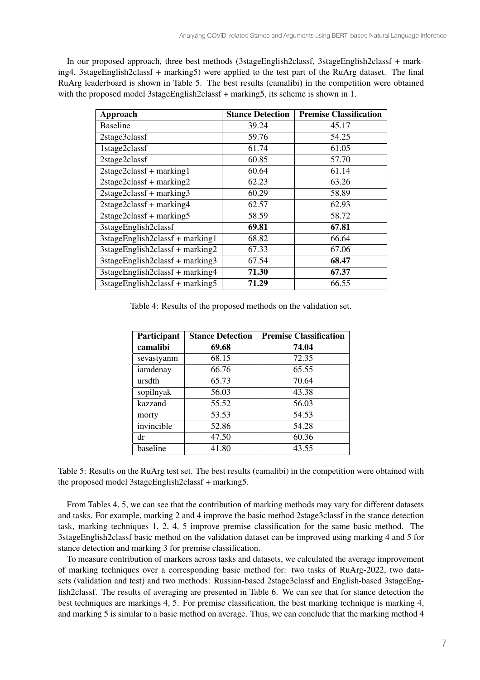In our proposed approach, three best methods (3stageEnglish2classf, 3stageEnglish2classf + marking4, 3stageEnglish2classf + marking5) were applied to the test part of the RuArg dataset. The final RuArg leaderboard is shown in Table 5. The best results (camalibi) in the competition were obtained with the proposed model 3stageEnglish2classf + marking5, its scheme is shown in 1.

| <b>Approach</b>                       | <b>Stance Detection</b> | <b>Premise Classification</b> |
|---------------------------------------|-------------------------|-------------------------------|
| <b>Baseline</b>                       | 39.24                   | 45.17                         |
| 2stage3classf                         | 59.76                   | 54.25                         |
| 1stage2classf                         | 61.74                   | 61.05                         |
| 2stage2classf                         | 60.85                   | 57.70                         |
| $2stage2classf + marking1$            | 60.64                   | 61.14                         |
| $2stage2classf + marking2$            | 62.23                   | 63.26                         |
| $2stage2classf + marking3$            | 60.29                   | 58.89                         |
| $2stage2classf + marking4$            | 62.57                   | 62.93                         |
| $2stage2classf + marking5$            | 58.59                   | 58.72                         |
| 3stageEnglish2classf                  | 69.81                   | 67.81                         |
| 3stageEnglish2classf + marking1       | 68.82                   | 66.64                         |
| $3$ stageEnglish2classf + marking2    | 67.33                   | 67.06                         |
| $3$ stageEnglish2classf + marking $3$ | 67.54                   | 68.47                         |
| 3stageEnglish2classf + marking4       | 71.30                   | 67.37                         |
| $3$ stageEnglish2classf + marking5    | 71.29                   | 66.55                         |

Table 4: Results of the proposed methods on the validation set.

| Participant | <b>Stance Detection</b> | <b>Premise Classification</b> |
|-------------|-------------------------|-------------------------------|
| camalibi    | 69.68                   | 74.04                         |
| sevastyanm  | 68.15                   | 72.35                         |
| iamdenay    | 66.76                   | 65.55                         |
| ursdth      | 65.73                   | 70.64                         |
| sopilnyak   | 56.03                   | 43.38                         |
| kazzand     | 55.52                   | 56.03                         |
| morty       | 53.53                   | 54.53                         |
| invincible  | 52.86                   | 54.28                         |
| dr          | 47.50                   | 60.36                         |
| baseline    | 41.80                   | 43.55                         |

Table 5: Results on the RuArg test set. The best results (camalibi) in the competition were obtained with the proposed model 3stageEnglish2classf + marking5.

From Tables 4, 5, we can see that the contribution of marking methods may vary for different datasets and tasks. For example, marking 2 and 4 improve the basic method 2stage3classf in the stance detection task, marking techniques 1, 2, 4, 5 improve premise classification for the same basic method. The 3stageEnglish2classf basic method on the validation dataset can be improved using marking 4 and 5 for stance detection and marking 3 for premise classification.

To measure contribution of markers across tasks and datasets, we calculated the average improvement of marking techniques over a corresponding basic method for: two tasks of RuArg-2022, two datasets (validation and test) and two methods: Russian-based 2stage3classf and English-based 3stageEnglish2classf. The results of averaging are presented in Table 6. We can see that for stance detection the best techniques are markings 4, 5. For premise classification, the best marking technique is marking 4, and marking 5 is similar to a basic method on average. Thus, we can conclude that the marking method 4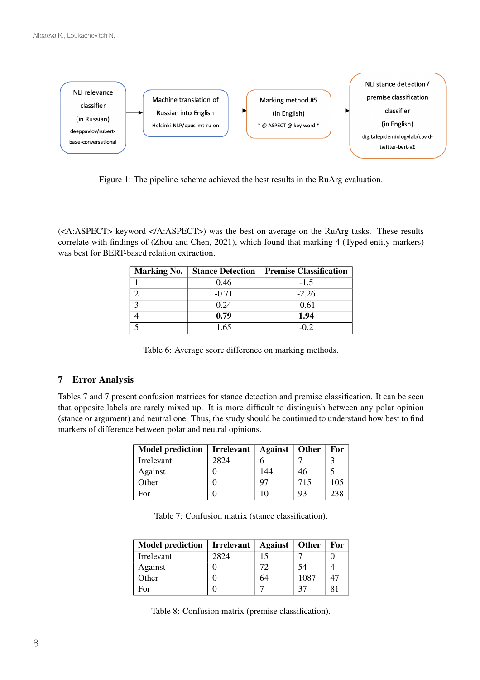

Figure 1: The pipeline scheme achieved the best results in the RuArg evaluation.

(<A:ASPECT> keyword </A:ASPECT>) was the best on average on the RuArg tasks. These results correlate with findings of (Zhou and Chen, 2021), which found that marking 4 (Typed entity markers) was best for BERT-based relation extraction.

| <b>Marking No.</b> | <b>Stance Detection</b> | <b>Premise Classification</b> |
|--------------------|-------------------------|-------------------------------|
|                    | 0.46                    | $-1.5$                        |
|                    | $-0.71$                 | $-2.26$                       |
|                    | 0.24                    | $-0.61$                       |
|                    | 0.79                    | 1.94                          |
|                    | 1.65                    | -0.2                          |

Table 6: Average score difference on marking methods.

# 7 Error Analysis

Tables 7 and 7 present confusion matrices for stance detection and premise classification. It can be seen that opposite labels are rarely mixed up. It is more difficult to distinguish between any polar opinion (stance or argument) and neutral one. Thus, the study should be continued to understand how best to find markers of difference between polar and neutral opinions.

| <b>Model prediction</b> | Irrelevant $ $ | $\boldsymbol{\wedge}$ against | <b>Other</b> | For |
|-------------------------|----------------|-------------------------------|--------------|-----|
| Irrelevant              | 2824           |                               |              |     |
| Against                 |                | 144                           | 46           |     |
| Other                   |                | 97                            | 715          | 105 |
| For                     |                | 10                            | 93           | 238 |

| Table 7: Confusion matrix (stance classification). |  |
|----------------------------------------------------|--|
|----------------------------------------------------|--|

| <b>Model prediction</b> | <b>Irrelevant</b> | <b>Against</b> | <b>Other</b> | For |
|-------------------------|-------------------|----------------|--------------|-----|
| Irrelevant              | 2824              | 15             |              |     |
| Against                 |                   | 72             | 54           |     |
| Other                   |                   | 64             | 1087         | 47  |
| For                     |                   | −              |              |     |

Table 8: Confusion matrix (premise classification).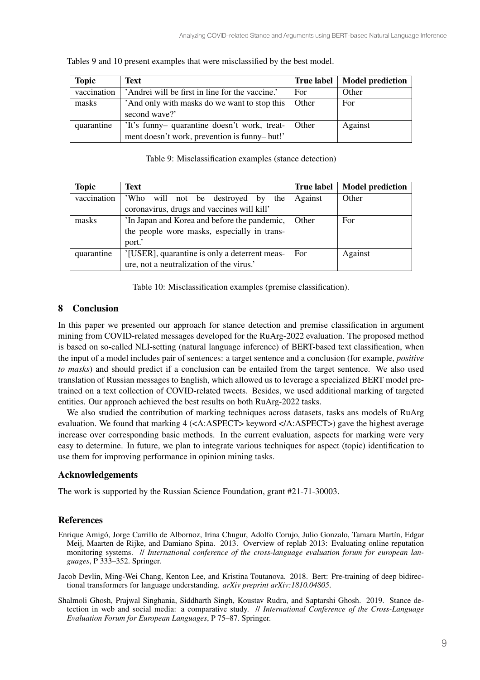| <b>Topic</b> | Text                                                                                         | <b>True label</b> | <b>Model prediction</b> |
|--------------|----------------------------------------------------------------------------------------------|-------------------|-------------------------|
| vaccination  | 'Andrei will be first in line for the vaccine.'                                              | For               | Other                   |
| masks        | 'And only with masks do we want to stop this<br>second wave?'                                | Other             | For                     |
| quarantine   | 'It's funny- quarantine doesn't work, treat-<br>ment doesn't work, prevention is funny-but!' | Other             | Against                 |

Tables 9 and 10 present examples that were misclassified by the best model.

| Table 9: Misclassification examples (stance detection) |  |  |
|--------------------------------------------------------|--|--|
|--------------------------------------------------------|--|--|

| <b>Topic</b> | Text                                          | <b>True label</b> | <b>Model prediction</b> |
|--------------|-----------------------------------------------|-------------------|-------------------------|
| vaccination  | 'Who will not be destroyed by<br>the          | Against           | Other                   |
|              | coronavirus, drugs and vaccines will kill'    |                   |                         |
| masks        | In Japan and Korea and before the pandemic,   | Other             | For                     |
|              | the people wore masks, especially in trans-   |                   |                         |
|              | port.'                                        |                   |                         |
| quarantine   | '[USER], quarantine is only a deterrent meas- | For               | Against                 |
|              | ure, not a neutralization of the virus.'      |                   |                         |

Table 10: Misclassification examples (premise classification).

## 8 Conclusion

In this paper we presented our approach for stance detection and premise classification in argument mining from COVID-related messages developed for the RuArg-2022 evaluation. The proposed method is based on so-called NLI-setting (natural language inference) of BERT-based text classification, when the input of a model includes pair of sentences: a target sentence and a conclusion (for example, *positive to masks*) and should predict if a conclusion can be entailed from the target sentence. We also used translation of Russian messages to English, which allowed us to leverage a specialized BERT model pretrained on a text collection of COVID-related tweets. Besides, we used additional marking of targeted entities. Our approach achieved the best results on both RuArg-2022 tasks.

We also studied the contribution of marking techniques across datasets, tasks ans models of RuArg evaluation. We found that marking 4 (<A:ASPECT> keyword </A:ASPECT>) gave the highest average increase over corresponding basic methods. In the current evaluation, aspects for marking were very easy to determine. In future, we plan to integrate various techniques for aspect (topic) identification to use them for improving performance in opinion mining tasks.

# Acknowledgements

The work is supported by the Russian Science Foundation, grant #21-71-30003.

# References

Enrique Amigó, Jorge Carrillo de Albornoz, Irina Chugur, Adolfo Corujo, Julio Gonzalo, Tamara Martín, Edgar Meij, Maarten de Rijke, and Damiano Spina. 2013. Overview of replab 2013: Evaluating online reputation monitoring systems. // *International conference of the cross-language evaluation forum for european languages*, P 333–352. Springer.

Jacob Devlin, Ming-Wei Chang, Kenton Lee, and Kristina Toutanova. 2018. Bert: Pre-training of deep bidirectional transformers for language understanding. *arXiv preprint arXiv:1810.04805*.

Shalmoli Ghosh, Prajwal Singhania, Siddharth Singh, Koustav Rudra, and Saptarshi Ghosh. 2019. Stance detection in web and social media: a comparative study. // *International Conference of the Cross-Language Evaluation Forum for European Languages*, P 75–87. Springer.